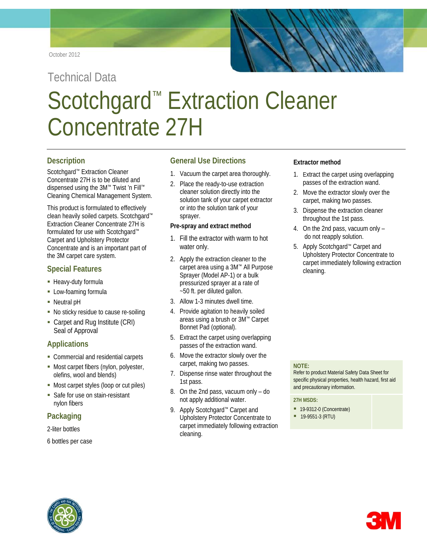# Technical Data Scotchgard<sup>™</sup> Extraction Cleaner Concentrate 27H

### **Description**

Scotchgard™ Extraction Cleaner Concentrate 27H is to be diluted and dispensed using the 3M™ Twist 'n Fill™ Cleaning Chemical Management System.

This product is formulated to effectively clean heavily soiled carpets. Scotchgard™ Extraction Cleaner Concentrate 27H is formulated for use with Scotchgard™ Carpet and Upholstery Protector Concentrate and is an important part of the 3M carpet care system.

## **Special Features**

- **Heavy-duty formula**
- **-** Low-foaming formula
- Neutral pH
- No sticky residue to cause re-soiling
- Carpet and Rug Institute (CRI) Seal of Approval

## **Applications**

- **Commercial and residential carpets**
- **Most carpet fibers (nylon, polyester,** olefins, wool and blends)
- **Most carpet styles (loop or cut piles)**
- **Safe for use on stain-resistant** nylon fibers

# **Packaging**

2-liter bottles

#### 6 bottles per case

## **General Use Directions**

- 1. Vacuum the carpet area thoroughly.
- 2. Place the ready-to-use extraction cleaner solution directly into the solution tank of your carpet extractor or into the solution tank of your sprayer.

#### **Pre-spray and extract method**

- 1. Fill the extractor with warm to hot water only.
- 2. Apply the extraction cleaner to the carpet area using a 3M™ All Purpose Sprayer (Model AP-1) or a bulk pressurized sprayer at a rate of ~50 ft. per diluted gallon.
- 3. Allow 1-3 minutes dwell time.
- 4. Provide agitation to heavily soiled areas using a brush or 3M™ Carpet Bonnet Pad (optional).
- 5. Extract the carpet using overlapping passes of the extraction wand.
- 6. Move the extractor slowly over the carpet, making two passes.
- 7. Dispense rinse water throughout the 1st pass.
- 8. On the 2nd pass, vacuum only do not apply additional water.
- 9. Apply Scotchgard<sup>™</sup> Carpet and Upholstery Protector Concentrate to carpet immediately following extraction cleaning.

#### **Extractor method**

- 1. Extract the carpet using overlapping passes of the extraction wand.
- 2. Move the extractor slowly over the carpet, making two passes.
- 3. Dispense the extraction cleaner throughout the 1st pass.
- 4. On the 2nd pass, vacuum only do not reapply solution.
- 5. Apply Scotchgard™ Carpet and Upholstery Protector Concentrate to carpet immediately following extraction cleaning.

#### **NOTE:**

Refer to product Material Safety Data Sheet for specific physical properties, health hazard, first aid and precautionary information.

#### **27H MSDS:**

- **19-9312-0 (Concentrate)**
- $19-9551-3$  (RTU)